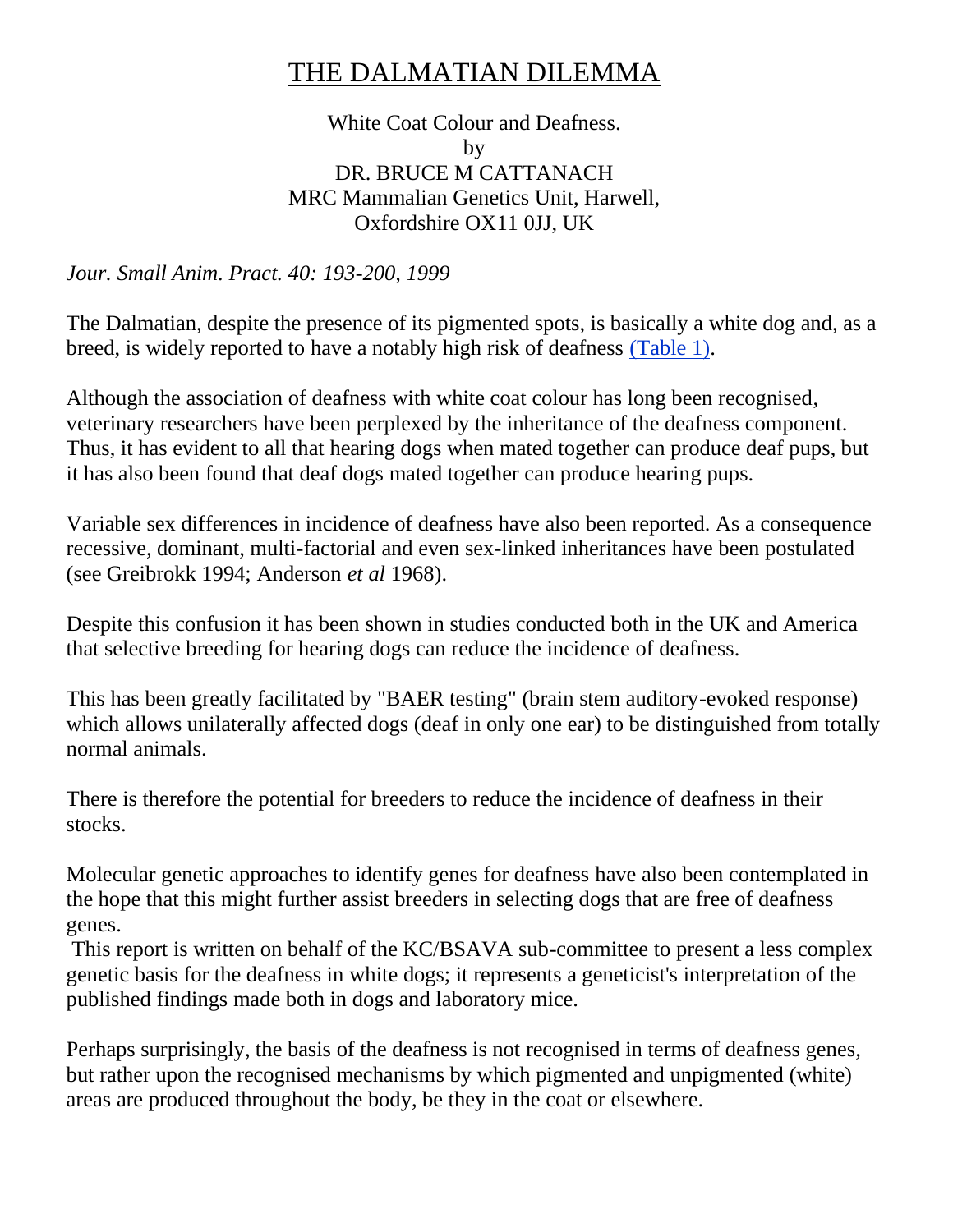# THE DALMATIAN DILEMMA

## White Coat Colour and Deafness. by DR. BRUCE M CATTANACH MRC Mammalian Genetics Unit, Harwell, Oxfordshire OX11 0JJ, UK

*Jour. Small Anim. Pract. 40: 193-200, 1999*

The Dalmatian, despite the presence of its pigmented spots, is basically a white dog and, as a breed, is widely reported to have a notably high risk of deafness [\(Table 1\).](http://www.steynmere.com/TABLES.html#table1)

Although the association of deafness with white coat colour has long been recognised, veterinary researchers have been perplexed by the inheritance of the deafness component. Thus, it has evident to all that hearing dogs when mated together can produce deaf pups, but it has also been found that deaf dogs mated together can produce hearing pups.

Variable sex differences in incidence of deafness have also been reported. As a consequence recessive, dominant, multi-factorial and even sex-linked inheritances have been postulated (see Greibrokk 1994; Anderson *et al* 1968).

Despite this confusion it has been shown in studies conducted both in the UK and America that selective breeding for hearing dogs can reduce the incidence of deafness.

This has been greatly facilitated by "BAER testing" (brain stem auditory-evoked response) which allows unilaterally affected dogs (deaf in only one ear) to be distinguished from totally normal animals.

There is therefore the potential for breeders to reduce the incidence of deafness in their stocks.

Molecular genetic approaches to identify genes for deafness have also been contemplated in the hope that this might further assist breeders in selecting dogs that are free of deafness genes.

This report is written on behalf of the KC/BSAVA sub-committee to present a less complex genetic basis for the deafness in white dogs; it represents a geneticist's interpretation of the published findings made both in dogs and laboratory mice.

Perhaps surprisingly, the basis of the deafness is not recognised in terms of deafness genes, but rather upon the recognised mechanisms by which pigmented and unpigmented (white) areas are produced throughout the body, be they in the coat or elsewhere.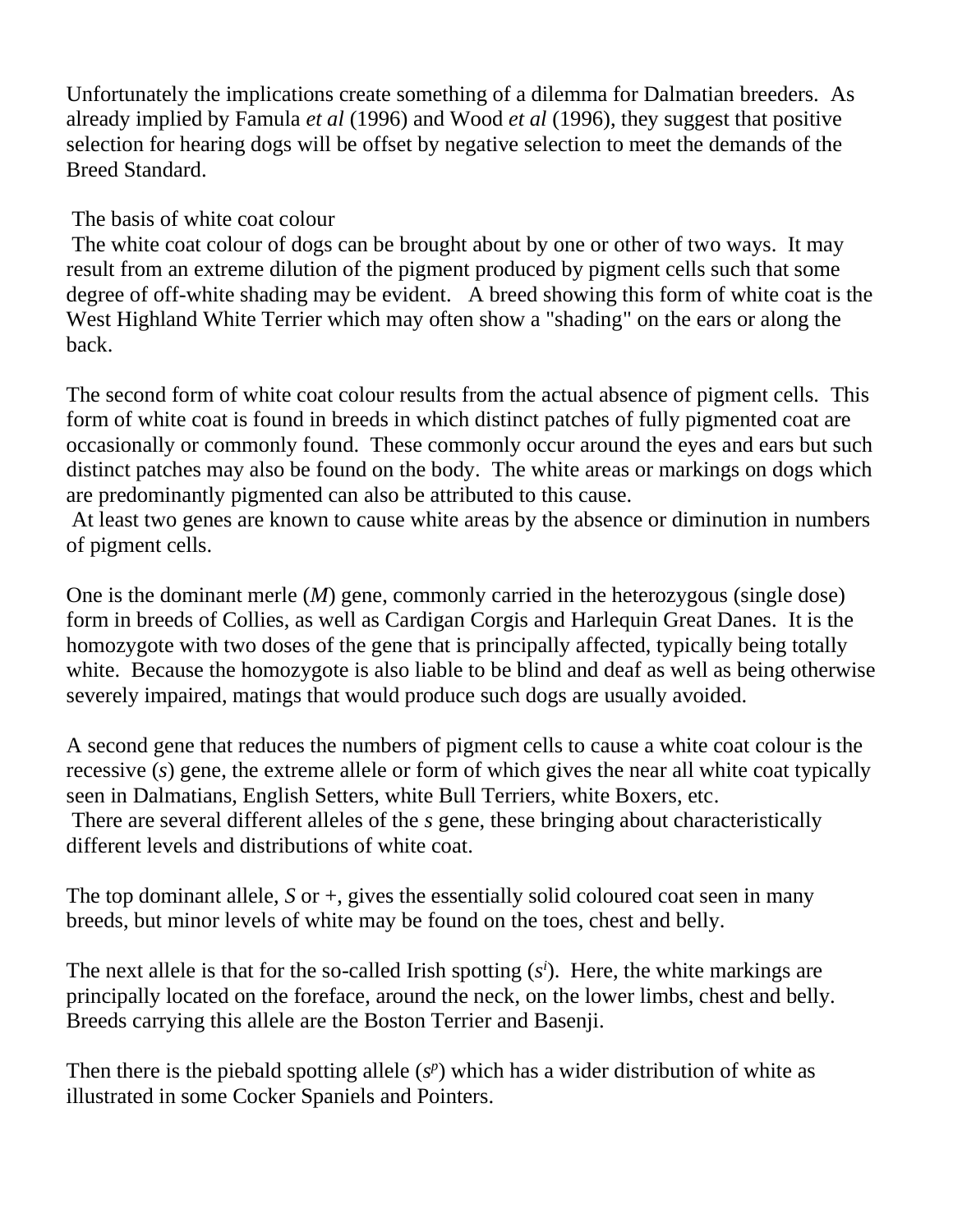Unfortunately the implications create something of a dilemma for Dalmatian breeders. As already implied by Famula *et al* (1996) and Wood *et al* (1996), they suggest that positive selection for hearing dogs will be offset by negative selection to meet the demands of the Breed Standard.

The basis of white coat colour

The white coat colour of dogs can be brought about by one or other of two ways. It may result from an extreme dilution of the pigment produced by pigment cells such that some degree of off-white shading may be evident. A breed showing this form of white coat is the West Highland White Terrier which may often show a "shading" on the ears or along the back.

The second form of white coat colour results from the actual absence of pigment cells. This form of white coat is found in breeds in which distinct patches of fully pigmented coat are occasionally or commonly found. These commonly occur around the eyes and ears but such distinct patches may also be found on the body. The white areas or markings on dogs which are predominantly pigmented can also be attributed to this cause.

At least two genes are known to cause white areas by the absence or diminution in numbers of pigment cells.

One is the dominant merle (*M*) gene, commonly carried in the heterozygous (single dose) form in breeds of Collies, as well as Cardigan Corgis and Harlequin Great Danes. It is the homozygote with two doses of the gene that is principally affected, typically being totally white. Because the homozygote is also liable to be blind and deaf as well as being otherwise severely impaired, matings that would produce such dogs are usually avoided.

A second gene that reduces the numbers of pigment cells to cause a white coat colour is the recessive (*s*) gene, the extreme allele or form of which gives the near all white coat typically seen in Dalmatians, English Setters, white Bull Terriers, white Boxers, etc. There are several different alleles of the *s* gene, these bringing about characteristically different levels and distributions of white coat.

The top dominant allele, *S* or +, gives the essentially solid coloured coat seen in many breeds, but minor levels of white may be found on the toes, chest and belly.

The next allele is that for the so-called Irish spotting  $(s^i)$ . Here, the white markings are principally located on the foreface, around the neck, on the lower limbs, chest and belly. Breeds carrying this allele are the Boston Terrier and Basenji.

Then there is the piebald spotting allele  $(s^p)$  which has a wider distribution of white as illustrated in some Cocker Spaniels and Pointers.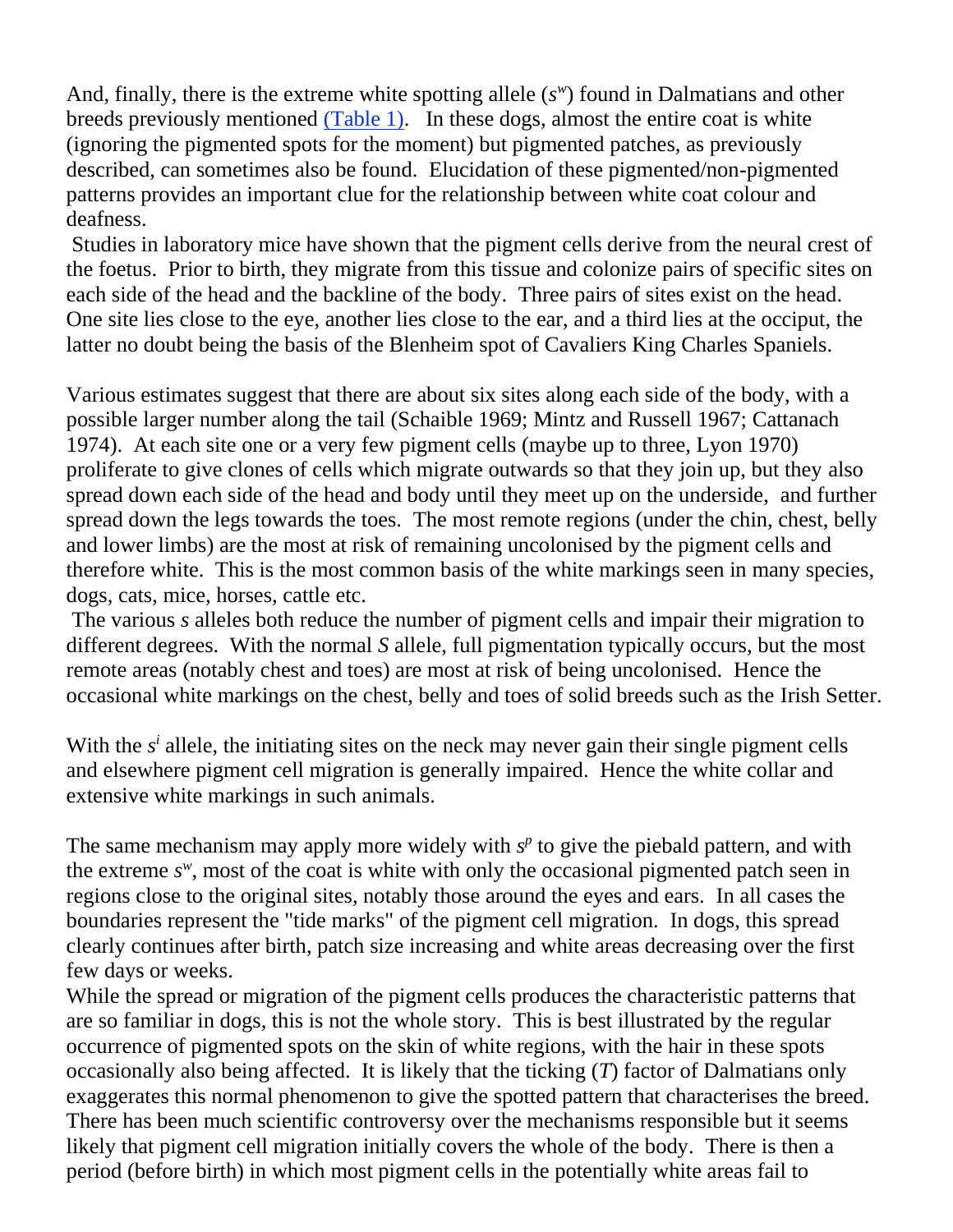And, finally, there is the extreme white spotting allele (*s w* ) found in Dalmatians and other breeds previously mentioned [\(Table 1\).](http://www.steynmere.com/TABLES.html#table1) In these dogs, almost the entire coat is white (ignoring the pigmented spots for the moment) but pigmented patches, as previously described, can sometimes also be found. Elucidation of these pigmented/non-pigmented patterns provides an important clue for the relationship between white coat colour and deafness.

Studies in laboratory mice have shown that the pigment cells derive from the neural crest of the foetus. Prior to birth, they migrate from this tissue and colonize pairs of specific sites on each side of the head and the backline of the body. Three pairs of sites exist on the head. One site lies close to the eye, another lies close to the ear, and a third lies at the occiput, the latter no doubt being the basis of the Blenheim spot of Cavaliers King Charles Spaniels.

Various estimates suggest that there are about six sites along each side of the body, with a possible larger number along the tail (Schaible 1969; Mintz and Russell 1967; Cattanach 1974). At each site one or a very few pigment cells (maybe up to three, Lyon 1970) proliferate to give clones of cells which migrate outwards so that they join up, but they also spread down each side of the head and body until they meet up on the underside, and further spread down the legs towards the toes. The most remote regions (under the chin, chest, belly and lower limbs) are the most at risk of remaining uncolonised by the pigment cells and therefore white. This is the most common basis of the white markings seen in many species, dogs, cats, mice, horses, cattle etc.

The various *s* alleles both reduce the number of pigment cells and impair their migration to different degrees. With the normal *S* allele, full pigmentation typically occurs, but the most remote areas (notably chest and toes) are most at risk of being uncolonised. Hence the occasional white markings on the chest, belly and toes of solid breeds such as the Irish Setter.

With the  $s<sup>i</sup>$  allele, the initiating sites on the neck may never gain their single pigment cells and elsewhere pigment cell migration is generally impaired. Hence the white collar and extensive white markings in such animals.

The same mechanism may apply more widely with  $s<sup>p</sup>$  to give the piebald pattern, and with the extreme  $s^w$ , most of the coat is white with only the occasional pigmented patch seen in regions close to the original sites, notably those around the eyes and ears. In all cases the boundaries represent the "tide marks" of the pigment cell migration. In dogs, this spread clearly continues after birth, patch size increasing and white areas decreasing over the first few days or weeks.

While the spread or migration of the pigment cells produces the characteristic patterns that are so familiar in dogs, this is not the whole story. This is best illustrated by the regular occurrence of pigmented spots on the skin of white regions, with the hair in these spots occasionally also being affected. It is likely that the ticking (*T*) factor of Dalmatians only exaggerates this normal phenomenon to give the spotted pattern that characterises the breed. There has been much scientific controversy over the mechanisms responsible but it seems likely that pigment cell migration initially covers the whole of the body. There is then a period (before birth) in which most pigment cells in the potentially white areas fail to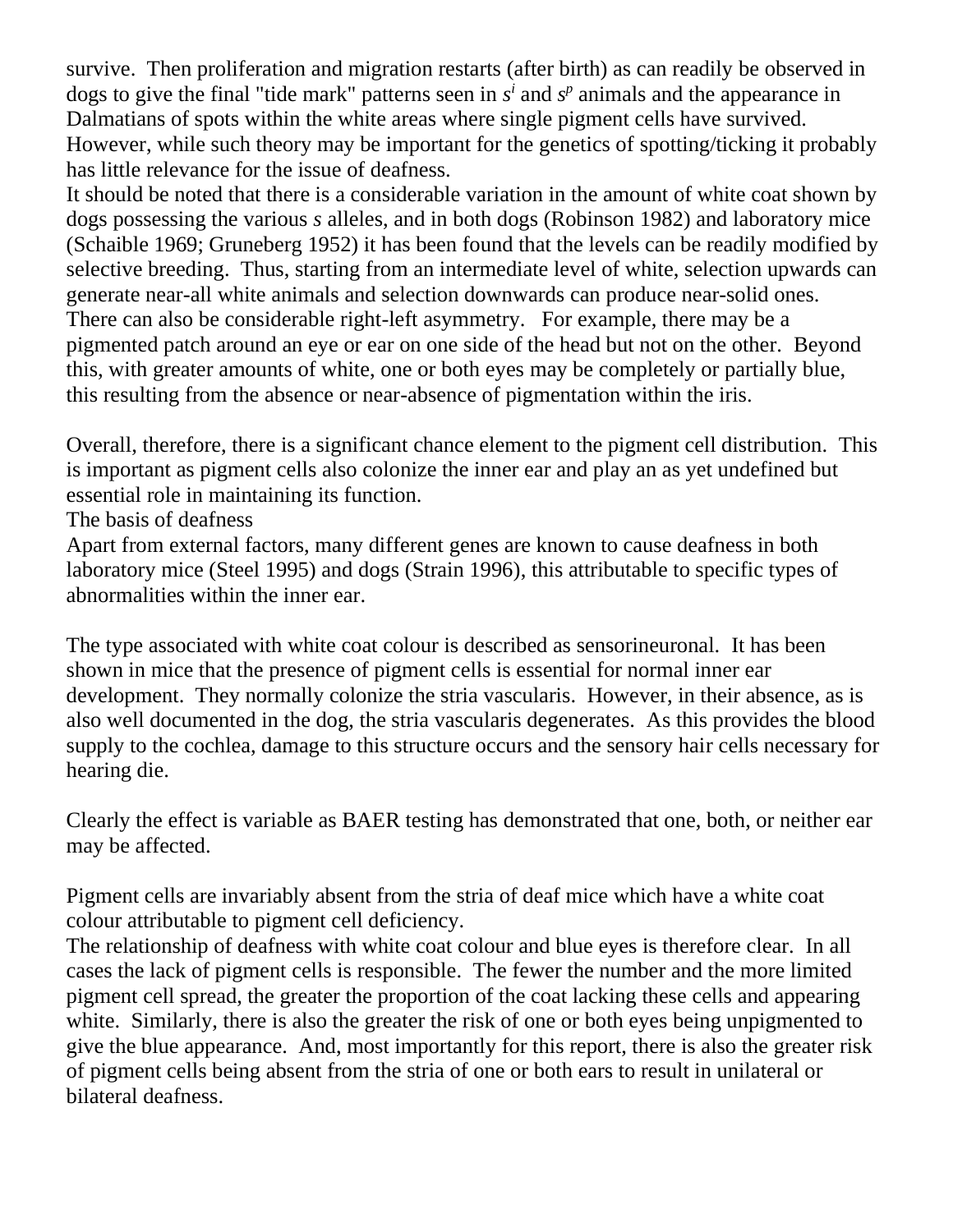survive. Then proliferation and migration restarts (after birth) as can readily be observed in dogs to give the final "tide mark" patterns seen in  $s^i$  and  $s^p$  animals and the appearance in Dalmatians of spots within the white areas where single pigment cells have survived. However, while such theory may be important for the genetics of spotting/ticking it probably has little relevance for the issue of deafness.

It should be noted that there is a considerable variation in the amount of white coat shown by dogs possessing the various *s* alleles, and in both dogs (Robinson 1982) and laboratory mice (Schaible 1969; Gruneberg 1952) it has been found that the levels can be readily modified by selective breeding. Thus, starting from an intermediate level of white, selection upwards can generate near-all white animals and selection downwards can produce near-solid ones. There can also be considerable right-left asymmetry. For example, there may be a pigmented patch around an eye or ear on one side of the head but not on the other. Beyond this, with greater amounts of white, one or both eyes may be completely or partially blue, this resulting from the absence or near-absence of pigmentation within the iris.

Overall, therefore, there is a significant chance element to the pigment cell distribution. This is important as pigment cells also colonize the inner ear and play an as yet undefined but essential role in maintaining its function.

The basis of deafness

Apart from external factors, many different genes are known to cause deafness in both laboratory mice (Steel 1995) and dogs (Strain 1996), this attributable to specific types of abnormalities within the inner ear.

The type associated with white coat colour is described as sensorineuronal. It has been shown in mice that the presence of pigment cells is essential for normal inner ear development. They normally colonize the stria vascularis. However, in their absence, as is also well documented in the dog, the stria vascularis degenerates. As this provides the blood supply to the cochlea, damage to this structure occurs and the sensory hair cells necessary for hearing die.

Clearly the effect is variable as BAER testing has demonstrated that one, both, or neither ear may be affected.

Pigment cells are invariably absent from the stria of deaf mice which have a white coat colour attributable to pigment cell deficiency.

The relationship of deafness with white coat colour and blue eyes is therefore clear. In all cases the lack of pigment cells is responsible. The fewer the number and the more limited pigment cell spread, the greater the proportion of the coat lacking these cells and appearing white. Similarly, there is also the greater the risk of one or both eyes being unpigmented to give the blue appearance. And, most importantly for this report, there is also the greater risk of pigment cells being absent from the stria of one or both ears to result in unilateral or bilateral deafness.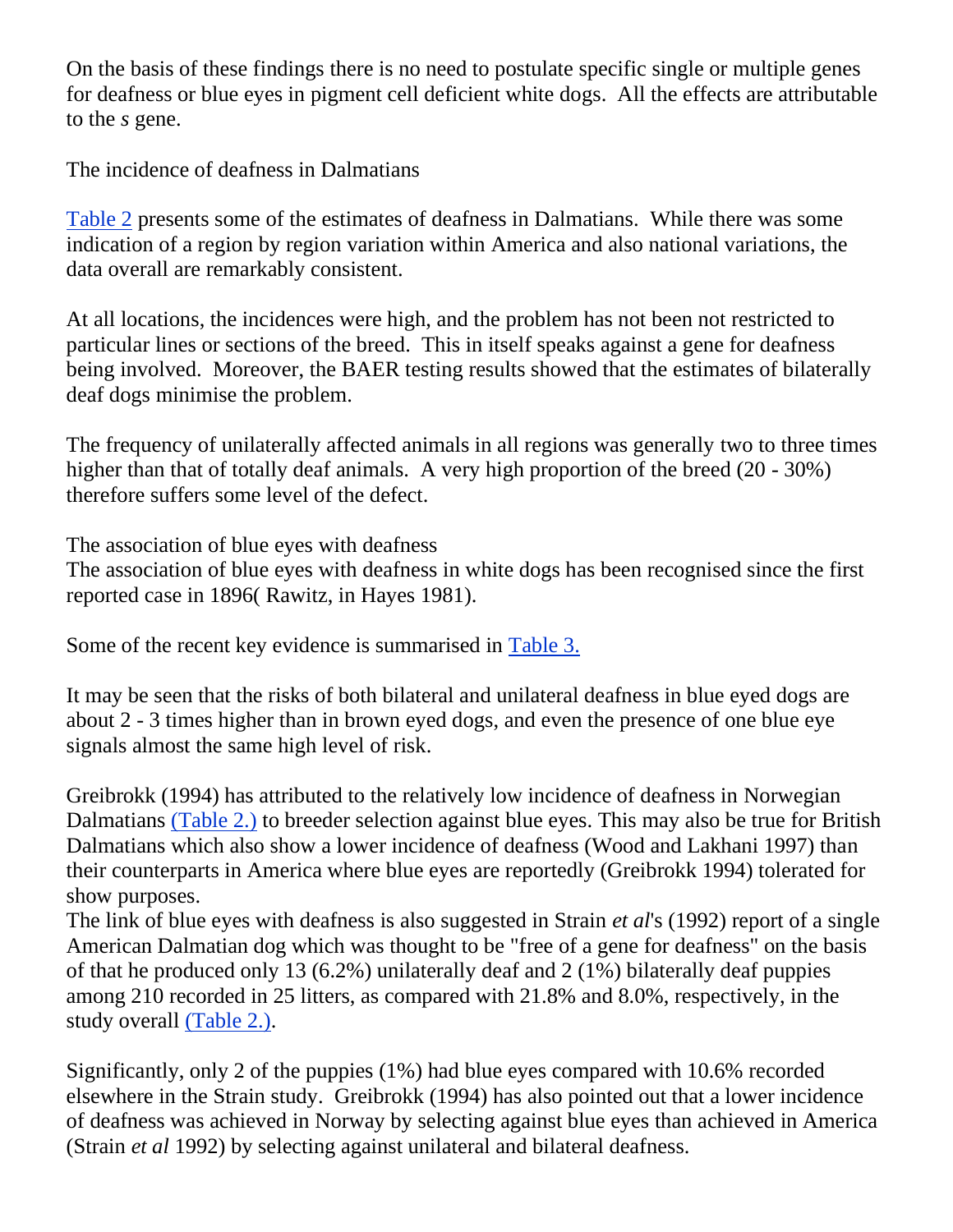On the basis of these findings there is no need to postulate specific single or multiple genes for deafness or blue eyes in pigment cell deficient white dogs. All the effects are attributable to the *s* gene.

The incidence of deafness in Dalmatians

[Table 2](http://www.steynmere.com/TABLES.html#table2) presents some of the estimates of deafness in Dalmatians. While there was some indication of a region by region variation within America and also national variations, the data overall are remarkably consistent.

At all locations, the incidences were high, and the problem has not been not restricted to particular lines or sections of the breed. This in itself speaks against a gene for deafness being involved. Moreover, the BAER testing results showed that the estimates of bilaterally deaf dogs minimise the problem.

The frequency of unilaterally affected animals in all regions was generally two to three times higher than that of totally deaf animals. A very high proportion of the breed (20 - 30%) therefore suffers some level of the defect.

The association of blue eyes with deafness

The association of blue eyes with deafness in white dogs has been recognised since the first reported case in 1896( Rawitz, in Hayes 1981).

Some of the recent key evidence is summarised in [Table 3.](http://www.steynmere.com/TABLES.html#table3)

It may be seen that the risks of both bilateral and unilateral deafness in blue eyed dogs are about 2 - 3 times higher than in brown eyed dogs, and even the presence of one blue eye signals almost the same high level of risk.

Greibrokk (1994) has attributed to the relatively low incidence of deafness in Norwegian Dalmatians [\(Table 2.\)](http://www.steynmere.com/TABLES.html#table2) to breeder selection against blue eyes. This may also be true for British Dalmatians which also show a lower incidence of deafness (Wood and Lakhani 1997) than their counterparts in America where blue eyes are reportedly (Greibrokk 1994) tolerated for show purposes.

The link of blue eyes with deafness is also suggested in Strain *et al*'s (1992) report of a single American Dalmatian dog which was thought to be "free of a gene for deafness" on the basis of that he produced only 13 (6.2%) unilaterally deaf and 2 (1%) bilaterally deaf puppies among 210 recorded in 25 litters, as compared with 21.8% and 8.0%, respectively, in the study overall [\(Table 2.\).](http://www.steynmere.com/TABLES.html#table2)

Significantly, only 2 of the puppies (1%) had blue eyes compared with 10.6% recorded elsewhere in the Strain study. Greibrokk (1994) has also pointed out that a lower incidence of deafness was achieved in Norway by selecting against blue eyes than achieved in America (Strain *et al* 1992) by selecting against unilateral and bilateral deafness.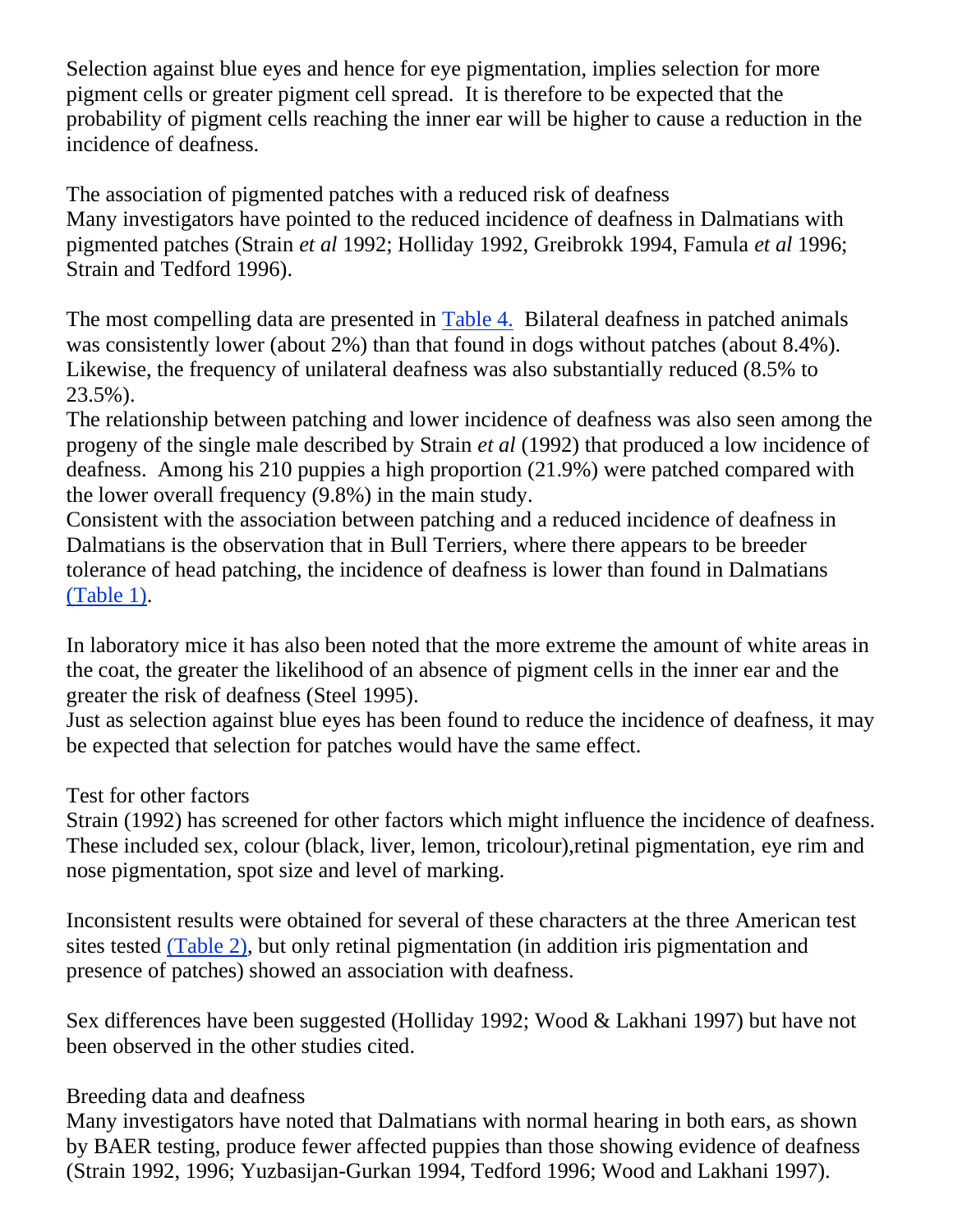Selection against blue eyes and hence for eye pigmentation, implies selection for more pigment cells or greater pigment cell spread. It is therefore to be expected that the probability of pigment cells reaching the inner ear will be higher to cause a reduction in the incidence of deafness.

The association of pigmented patches with a reduced risk of deafness Many investigators have pointed to the reduced incidence of deafness in Dalmatians with pigmented patches (Strain *et al* 1992; Holliday 1992, Greibrokk 1994, Famula *et al* 1996; Strain and Tedford 1996).

The most compelling data are presented in [Table 4.](http://www.steynmere.com/TABLES2.html#table4) Bilateral deafness in patched animals was consistently lower (about 2%) than that found in dogs without patches (about 8.4%). Likewise, the frequency of unilateral deafness was also substantially reduced (8.5% to 23.5%).

The relationship between patching and lower incidence of deafness was also seen among the progeny of the single male described by Strain *et al* (1992) that produced a low incidence of deafness. Among his 210 puppies a high proportion (21.9%) were patched compared with the lower overall frequency (9.8%) in the main study.

Consistent with the association between patching and a reduced incidence of deafness in Dalmatians is the observation that in Bull Terriers, where there appears to be breeder tolerance of head patching, the incidence of deafness is lower than found in Dalmatians [\(Table 1\).](http://www.steynmere.com/TABLES.html#table1)

In laboratory mice it has also been noted that the more extreme the amount of white areas in the coat, the greater the likelihood of an absence of pigment cells in the inner ear and the greater the risk of deafness (Steel 1995).

Just as selection against blue eyes has been found to reduce the incidence of deafness, it may be expected that selection for patches would have the same effect.

## Test for other factors

Strain (1992) has screened for other factors which might influence the incidence of deafness. These included sex, colour (black, liver, lemon, tricolour),retinal pigmentation, eye rim and nose pigmentation, spot size and level of marking.

Inconsistent results were obtained for several of these characters at the three American test sites tested [\(Table 2\),](http://www.steynmere.com/TABLES.html#table2) but only retinal pigmentation (in addition iris pigmentation and presence of patches) showed an association with deafness.

Sex differences have been suggested (Holliday 1992; Wood & Lakhani 1997) but have not been observed in the other studies cited.

## Breeding data and deafness

Many investigators have noted that Dalmatians with normal hearing in both ears, as shown by BAER testing, produce fewer affected puppies than those showing evidence of deafness (Strain 1992, 1996; Yuzbasijan-Gurkan 1994, Tedford 1996; Wood and Lakhani 1997).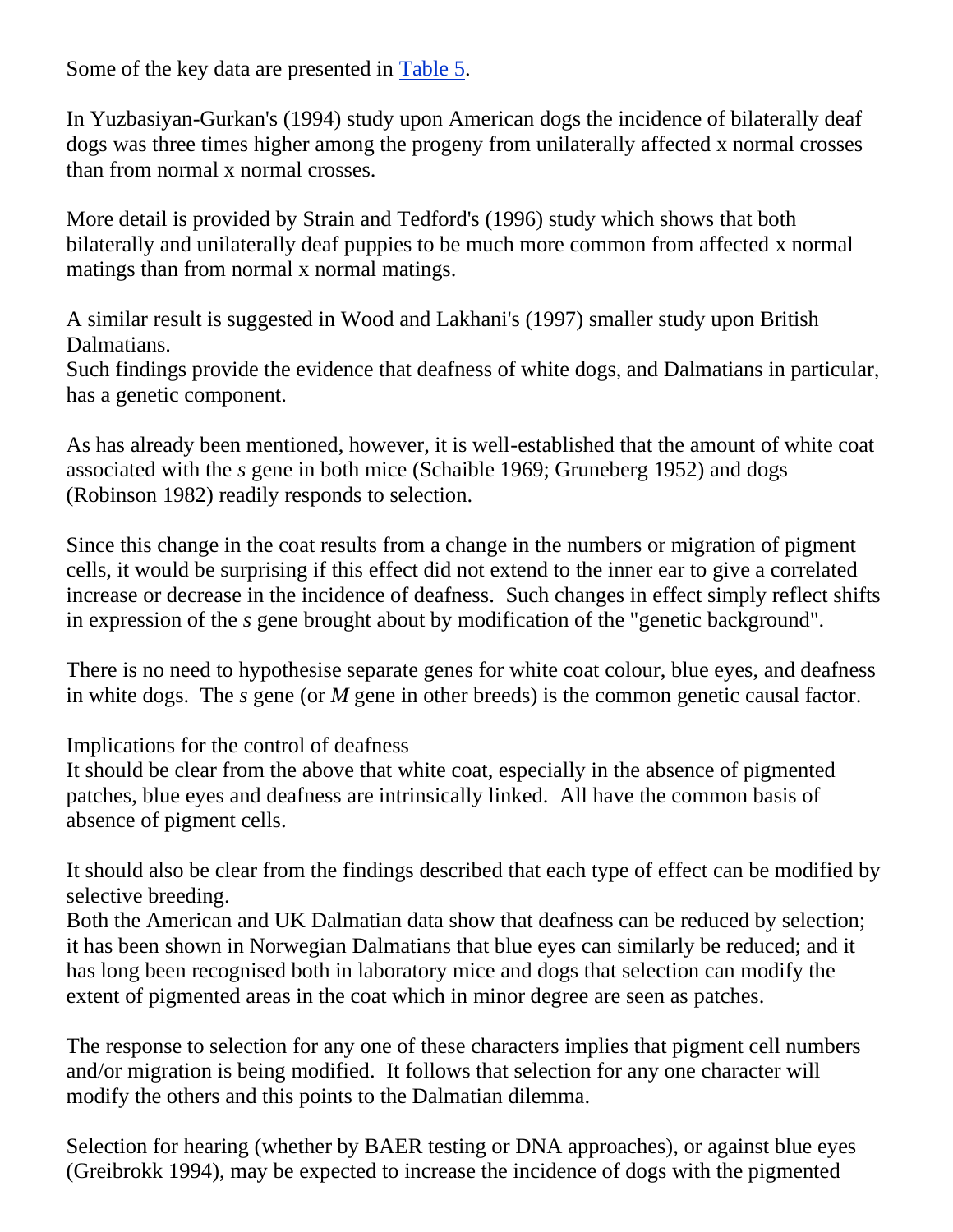Some of the key data are presented in [Table 5.](http://www.steynmere.com/TABLES2.html#table5)

In Yuzbasiyan-Gurkan's (1994) study upon American dogs the incidence of bilaterally deaf dogs was three times higher among the progeny from unilaterally affected x normal crosses than from normal x normal crosses.

More detail is provided by Strain and Tedford's (1996) study which shows that both bilaterally and unilaterally deaf puppies to be much more common from affected x normal matings than from normal x normal matings.

A similar result is suggested in Wood and Lakhani's (1997) smaller study upon British Dalmatians.

Such findings provide the evidence that deafness of white dogs, and Dalmatians in particular, has a genetic component.

As has already been mentioned, however, it is well-established that the amount of white coat associated with the *s* gene in both mice (Schaible 1969; Gruneberg 1952) and dogs (Robinson 1982) readily responds to selection.

Since this change in the coat results from a change in the numbers or migration of pigment cells, it would be surprising if this effect did not extend to the inner ear to give a correlated increase or decrease in the incidence of deafness. Such changes in effect simply reflect shifts in expression of the *s* gene brought about by modification of the "genetic background".

There is no need to hypothesise separate genes for white coat colour, blue eyes, and deafness in white dogs. The *s* gene (or *M* gene in other breeds) is the common genetic causal factor.

Implications for the control of deafness

It should be clear from the above that white coat, especially in the absence of pigmented patches, blue eyes and deafness are intrinsically linked. All have the common basis of absence of pigment cells.

It should also be clear from the findings described that each type of effect can be modified by selective breeding.

Both the American and UK Dalmatian data show that deafness can be reduced by selection; it has been shown in Norwegian Dalmatians that blue eyes can similarly be reduced; and it has long been recognised both in laboratory mice and dogs that selection can modify the extent of pigmented areas in the coat which in minor degree are seen as patches.

The response to selection for any one of these characters implies that pigment cell numbers and/or migration is being modified. It follows that selection for any one character will modify the others and this points to the Dalmatian dilemma.

Selection for hearing (whether by BAER testing or DNA approaches), or against blue eyes (Greibrokk 1994), may be expected to increase the incidence of dogs with the pigmented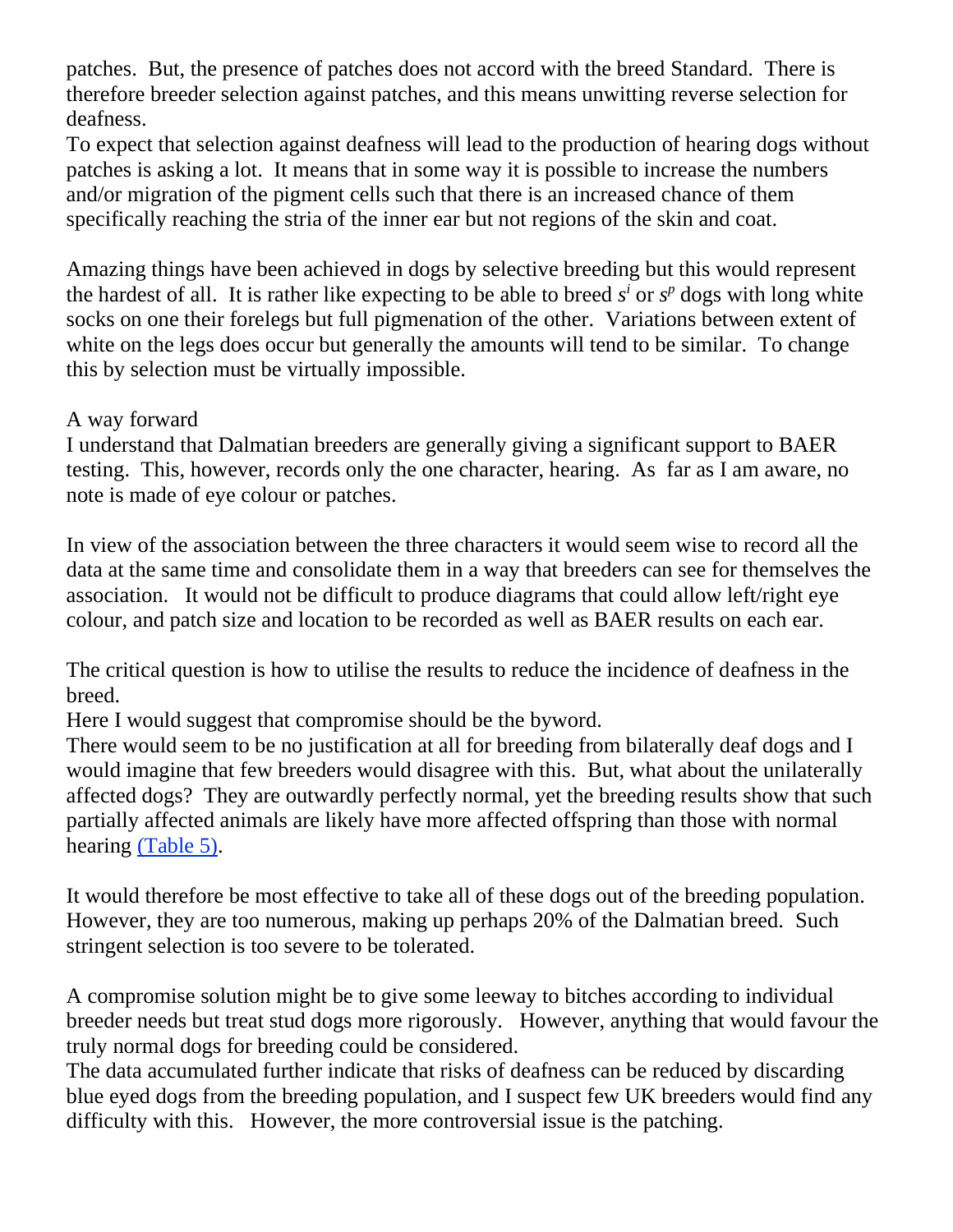patches. But, the presence of patches does not accord with the breed Standard. There is therefore breeder selection against patches, and this means unwitting reverse selection for deafness.

To expect that selection against deafness will lead to the production of hearing dogs without patches is asking a lot. It means that in some way it is possible to increase the numbers and/or migration of the pigment cells such that there is an increased chance of them specifically reaching the stria of the inner ear but not regions of the skin and coat.

Amazing things have been achieved in dogs by selective breeding but this would represent the hardest of all. It is rather like expecting to be able to breed  $s^i$  or  $s^p$  dogs with long white socks on one their forelegs but full pigmenation of the other. Variations between extent of white on the legs does occur but generally the amounts will tend to be similar. To change this by selection must be virtually impossible.

## A way forward

I understand that Dalmatian breeders are generally giving a significant support to BAER testing. This, however, records only the one character, hearing. As far as I am aware, no note is made of eye colour or patches.

In view of the association between the three characters it would seem wise to record all the data at the same time and consolidate them in a way that breeders can see for themselves the association. It would not be difficult to produce diagrams that could allow left/right eye colour, and patch size and location to be recorded as well as BAER results on each ear.

The critical question is how to utilise the results to reduce the incidence of deafness in the breed.

Here I would suggest that compromise should be the byword.

There would seem to be no justification at all for breeding from bilaterally deaf dogs and I would imagine that few breeders would disagree with this. But, what about the unilaterally affected dogs? They are outwardly perfectly normal, yet the breeding results show that such partially affected animals are likely have more affected offspring than those with normal hearing [\(Table 5\).](http://www.steynmere.com/TABLES2.html#table5)

It would therefore be most effective to take all of these dogs out of the breeding population. However, they are too numerous, making up perhaps 20% of the Dalmatian breed. Such stringent selection is too severe to be tolerated.

A compromise solution might be to give some leeway to bitches according to individual breeder needs but treat stud dogs more rigorously. However, anything that would favour the truly normal dogs for breeding could be considered.

The data accumulated further indicate that risks of deafness can be reduced by discarding blue eyed dogs from the breeding population, and I suspect few UK breeders would find any difficulty with this. However, the more controversial issue is the patching.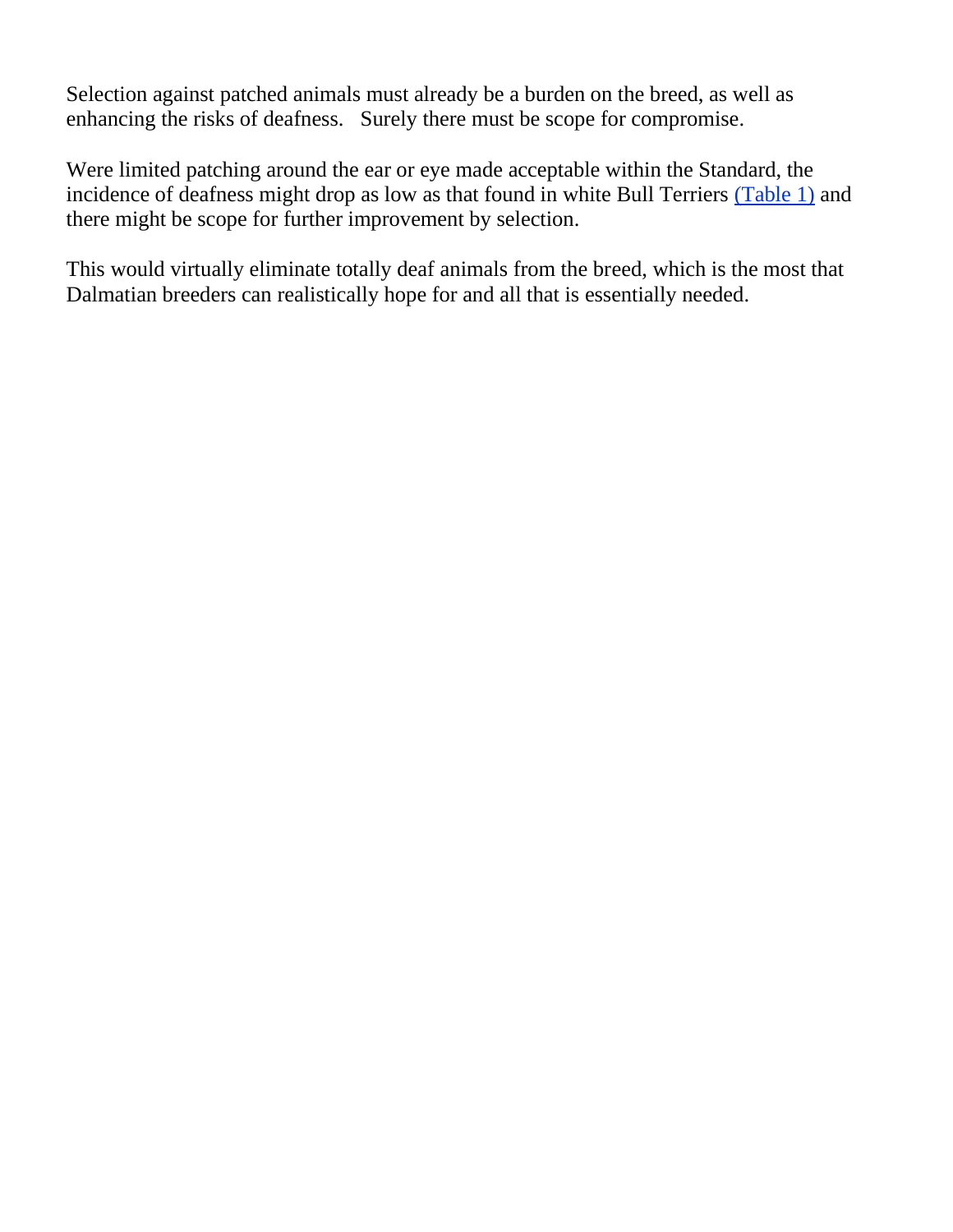Selection against patched animals must already be a burden on the breed, as well as enhancing the risks of deafness. Surely there must be scope for compromise.

Were limited patching around the ear or eye made acceptable within the Standard, the incidence of deafness might drop as low as that found in white Bull Terriers [\(Table 1\)](http://www.steynmere.com/TABLES.html#table1) and there might be scope for further improvement by selection.

This would virtually eliminate totally deaf animals from the breed, which is the most that Dalmatian breeders can realistically hope for and all that is essentially needed.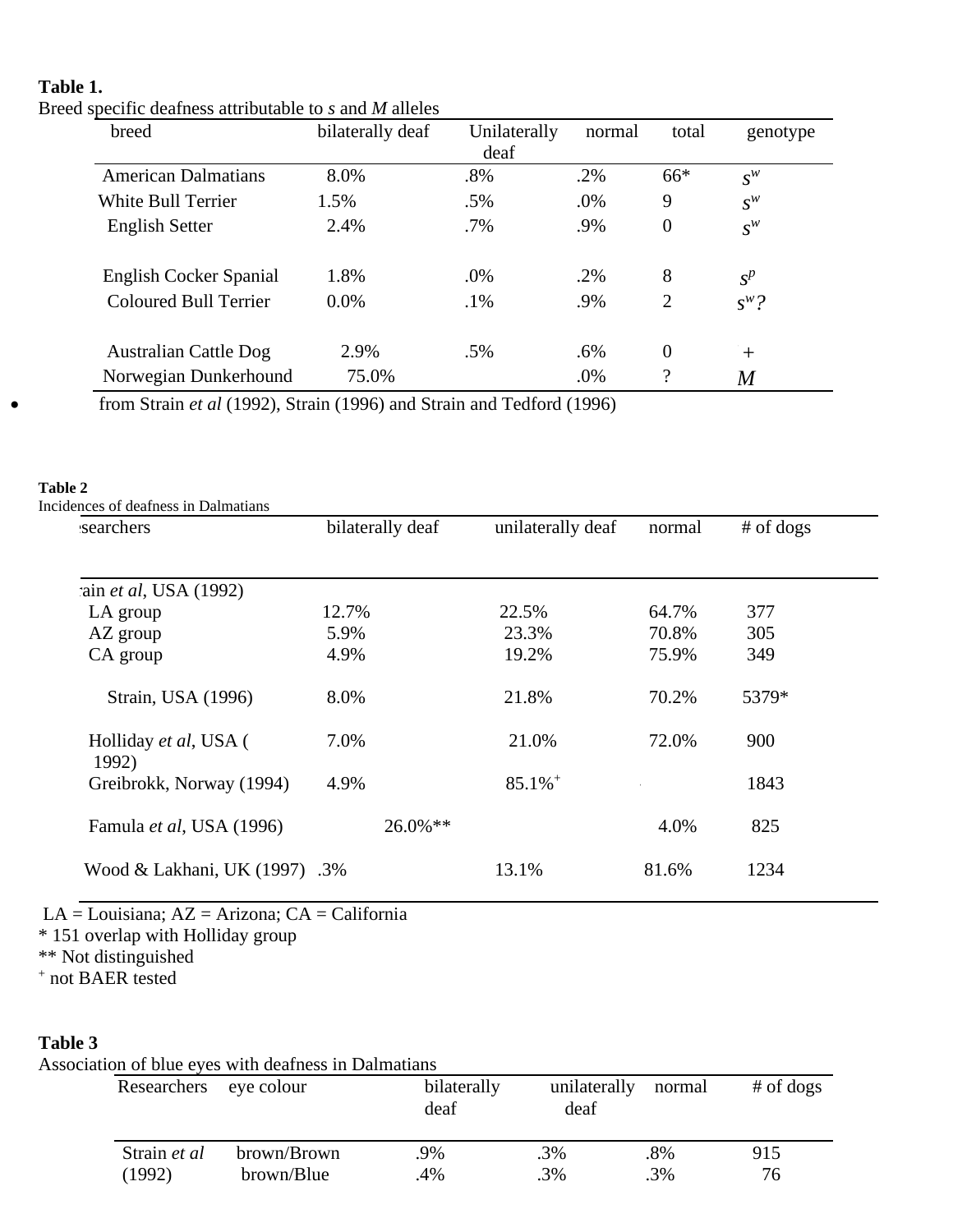### **Table 1.**

Breed specific deafness attributable to *s* and *M* alleles

| breed                         | bilaterally deaf | Unilaterally<br>deaf | normal | total              | genotype |
|-------------------------------|------------------|----------------------|--------|--------------------|----------|
| <b>American Dalmatians</b>    | 8.0%             | .8%                  | $.2\%$ | $66*$              | $S^W$    |
| <b>White Bull Terrier</b>     | 1.5%             | .5%                  | .0%    | 9                  | $S^W$    |
| <b>English Setter</b>         | 2.4%             | $.7\%$               | .9%    | $\overline{0}$     | $S^W$    |
| <b>English Cocker Spanial</b> | 1.8%             | .0%                  | .2%    | 8                  | $S^p$    |
| <b>Coloured Bull Terrier</b>  | $0.0\%$          | $.1\%$               | .9%    | $\overline{2}$     | $s^w$ ?  |
| <b>Australian Cattle Dog</b>  | 2.9%             | .5%                  | .6%    | $\overline{0}$     | $^{+}$   |
| Norwegian Dunkerhound         | 75.0%            |                      | .0%    | $\overline{\cdot}$ | M        |

• from Strain *et al* (1992), Strain (1996) and Strain and Tedford (1996)

# **Table 2**

| searchers                         | bilaterally deaf | unilaterally deaf     | normal | $#$ of dogs |
|-----------------------------------|------------------|-----------------------|--------|-------------|
|                                   |                  |                       |        |             |
| ain et al, USA (1992)<br>LA group | 12.7%            | 22.5%                 | 64.7%  | 377         |
| AZ group                          | 5.9%             | 23.3%                 | 70.8%  | 305         |
| CA group                          | 4.9%             | 19.2%                 | 75.9%  | 349         |
| Strain, USA (1996)                | 8.0%             | 21.8%                 | 70.2%  | 5379*       |
| Holliday et al, USA (<br>1992)    | 7.0%             | 21.0%                 | 72.0%  | 900         |
| Greibrokk, Norway (1994)          | 4.9%             | $85.1\%$ <sup>+</sup> |        | 1843        |
| Famula et al, USA (1996)          | 26.0%**          |                       | 4.0%   | 825         |
| Wood & Lakhani, UK (1997)         | .3%              | 13.1%                 | 81.6%  | 1234        |

LA = Louisiana; AZ = Arizona; CA = California \* 151 overlap with Holliday group

\*\* Not distinguished

+ not BAER tested

### **Table 3**

| Researchers eye colour |             | bilaterally<br>deaf | unilaterally<br>deaf | normal | $#$ of dogs |
|------------------------|-------------|---------------------|----------------------|--------|-------------|
| Strain et al           | brown/Brown | .9%                 | .3%                  | .8%    | 915         |
| (1992)                 | brown/Blue  | .4%                 | $.3\%$               | $.3\%$ | 76          |